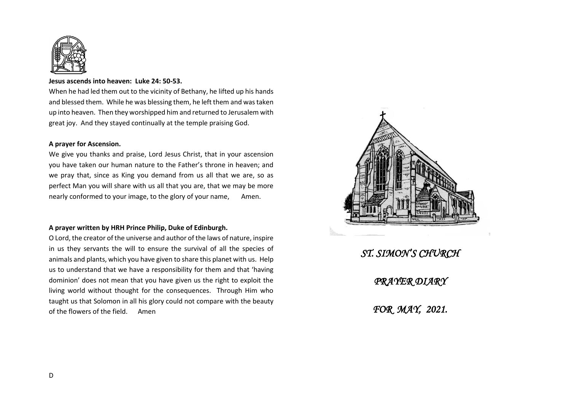

## **Jesus ascends into heaven: Luke 24: 50-53.**

When he had led them out to the vicinity of Bethany, he lifted up his hands and blessed them. While he was blessing them, he left them and was taken up into heaven. Then they worshipped him and returned to Jerusalem with great joy. And they stayed continually at the temple praising God.

## **A prayer for Ascension.**

We give you thanks and praise, Lord Jesus Christ, that in your ascension you have taken our human nature to the Father's throne in heaven; and we pray that, since as King you demand from us all that we are, so as perfect Man you will share with us all that you are, that we may be more nearly conformed to your image, to the glory of your name, Amen.

## **A prayer written by HRH Prince Philip, Duke of Edinburgh.**

O Lord, the creator of the universe and author of the laws of nature, inspire in us they servants the will to ensure the survival of all the species of animals and plants, which you have given to share this planet with us. Help us to understand that we have a responsibility for them and that 'having dominion' does not mean that you have given us the right to exploit the living world without thought for the consequences. Through Him who taught us that Solomon in all his glory could not compare with the beauty of the flowers of the field. Amen



## *ST. SIMON'S CHURCH*

*PRAYER DIARY* 

*FOR MAY, 2021.*